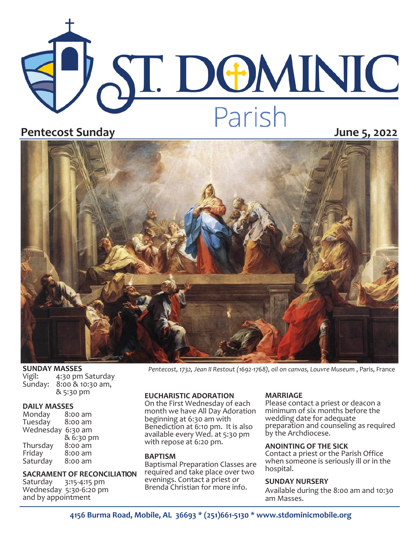# ST. DOMINIC **Parish**<br>Pentecost Sunday<br> **Parish**<br>
June 5, 2022

## **SUNDAY MASSES**<br>Vigil: 4:30 pm

4:30 pm Saturday Sunday: 8:00 & 10:30 am, & 5:30 pm

#### **DAILY MASSES**

| Monday    | 8:00 am   |
|-----------|-----------|
| Tuesday   | 8:00 am   |
| Wednesday | 6:30 am   |
|           | & 6:30 pm |
| Thursday  | 8:00 am   |
| Friday    | 8:00 am   |
| Saturday  | 8:00 am   |

## **SACRAMENT OF RECONCILIATION**<br>Saturday 3:15-4:15 pm

Saturday 3:15-4:15 pm Wednesday 5:30-6:20 pm and by appointment

#### **EUCHARISTIC ADORATION**

On the First Wednesday of each month we have All Day Adoration beginning at 6:30 am with Benediction at 6:10 pm. It is also available every Wed. at 5:30 pm with repose at 6:20 pm.

#### **BAPTISM**

Baptismal Preparation Classes are required and take place over two evenings. Contact a priest or Brenda Christian for more info.

#### **MARRIAGE**

*Pentecost, 1732, Jean II Restout (1692-1768), oil on canvas, Louvre Museum* , Paris, France

Please contact a priest or deacon a minimum of six months before the wedding date for adequate preparation and counseling as required by the Archdiocese.

#### **ANOINTING OF THE SICK**

Contact a priest or the Parish Office when someone is seriously ill or in the hospital.

#### **SUNDAY NURSERY**

Available during the 8:00 am and 10:30 am Masses.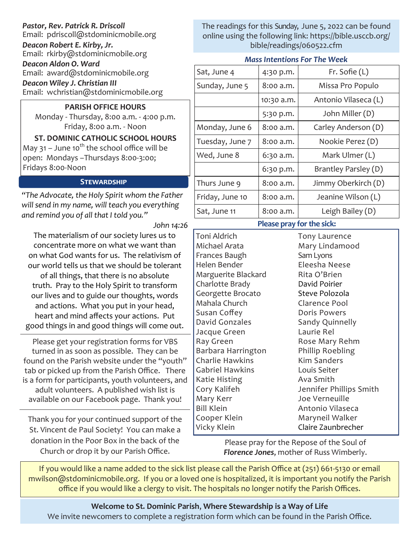#### *Pastor, Rev. Patrick R. Driscoll*

Email: pdriscoll@stdominicmobile.org

*Deacon Robert E. Kirby, Jr.* Email: rkirby@stdominicmobile.org

*Deacon Aldon O. Ward*

Email: award@stdominicmobile.org

*Deacon Wiley J. Christian III*

Email: wchristian@stdominicmobile.org

#### **PARISH OFFICE HOURS**

Monday - Thursday, 8:00 a.m. - 4:00 p.m. Friday, 8:00 a.m. - Noon

**ST. DOMINIC CATHOLIC SCHOOL HOURS**  May  $31 -$  June 10<sup>th</sup> the school office will be open: Mondays –Thursdays 8:00-3:00; Fridays 8:00-Noon

#### **Stewardship**

*"The Advocate, the Holy Spirit whom the Father will send in my name, will teach you everything and remind you of all that I told you."* 

*John 14:26*

The materialism of our society lures us to concentrate more on what we want than on what God wants for us. The relativism of our world tells us that we should be tolerant of all things, that there is no absolute truth. Pray to the Holy Spirit to transform our lives and to guide our thoughts, words and actions. What you put in your head, heart and mind affects your actions. Put good things in and good things will come out.

Please get your registration forms for VBS turned in as soon as possible. They can be found on the Parish website under the "youth" tab or picked up from the Parish Office. There is a form for participants, youth volunteers, and adult volunteers. A published wish list is available on our Facebook page. Thank you!

Thank you for your continued support of the St. Vincent de Paul Society! You can make a donation in the Poor Box in the back of the Church or drop it by our Parish Office.

The readings for this Sunday, June 5, 2022 can be found online using the following link: https://bible.usccb.org/ bible/readings/060522.cfm

#### *Mass Intentions For The Week*

| Sat, June 4     | 4:30 p.m.  | Fr. Sofie $(L)$      |
|-----------------|------------|----------------------|
| Sunday, June 5  | 8:00 a.m.  | Missa Pro Populo     |
|                 | 10:30 a.m. | Antonio Vilaseca (L) |
|                 | 5:30 p.m.  | John Miller (D)      |
| Monday, June 6  | 8:00 a.m.  | Carley Anderson (D)  |
| Tuesday, June 7 | 8:00 a.m.  | Nookie Perez (D)     |
| Wed, June 8     | 6:30 a.m.  | Mark Ulmer (L)       |
|                 | 6:30 p.m.  | Brantley Parsley (D) |
| Thurs June 9    | 8:00 a.m.  | Jimmy Oberkirch (D)  |
| Friday, June 10 | 8:00 a.m.  | Jeanine Wilson (L)   |
| Sat, June 11    | 8:00 a.m.  | Leigh Bailey (D)     |

#### **Please pray for the sick:**

Toni Aldrich Michael Arata Frances Baugh Helen Bender Marguerite Blackard Charlotte Brady Georgette Brocato Mahala Church Susan Coffey David Gonzales Jacque Green Ray Green Barbara Harrington Charlie Hawkins Gabriel Hawkins Katie Histing Cory Kalifeh Mary Kerr Bill Klein Cooper Klein

Tony Laurence Mary Lindamood Sam Lyons Eleesha Neese Rita O'Brien David Poirier Steve Polozola Clarence Pool Doris Powers Sandy Quinnelly Laurie Rel Rose Mary Rehm Phillip Roebling Kim Sanders Louis Seiter Ava Smith Jennifer Phillips Smith Joe Verneuille Antonio Vilaseca Maryneil Walker Claire Zaunbrecher

Please pray for the Repose of the Soul of *Florence Jones*, mother of Russ Wimberly.

If you would like a name added to the sick list please call the Parish Office at (251) 661-5130 or email mwilson@stdominicmobile.org. If you or a loved one is hospitalized, it is important you notify the Parish office if you would like a clergy to visit. The hospitals no longer notify the Parish Offices.

Vicky Klein

**Welcome to St. Dominic Parish**, **Where Stewardship is a Way of Life**  We invite newcomers to complete a registration form which can be found in the Parish Office.